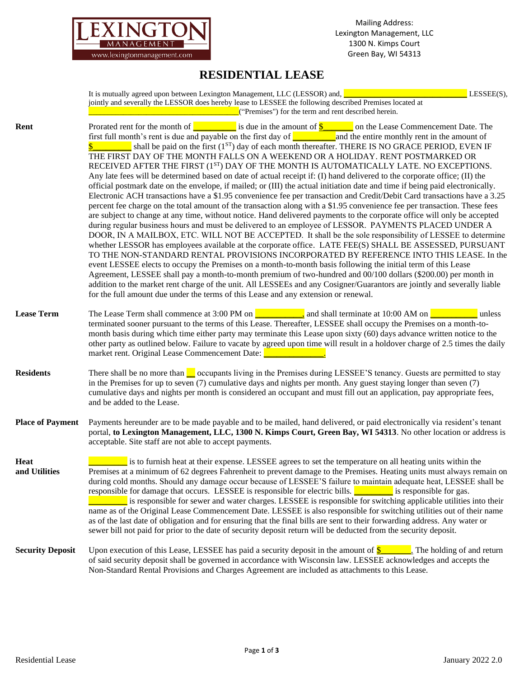

## **RESIDENTIAL LEASE**

|                         | It is mutually agreed upon between Lexington Management, LLC (LESSOR) and, $\Box$<br>LESSEE(S),<br>jointly and severally the LESSOR does hereby lease to LESSEE the following described Premises located at<br><b>Example 2.1</b> ("Premises") for the term and rent described herein.                                                                                                                                                                                                                                                                                                                                                                                                                                                                                                                                                                                                                                                                                                                                                                                                                                                                                                                                                                                                                                                                                                                                                                                                                                                                                                                                                                                                                                                                                                                                                                                                                                                                                                                                                                                                                                                                                                                                                                                                                                                                                                                |
|-------------------------|-------------------------------------------------------------------------------------------------------------------------------------------------------------------------------------------------------------------------------------------------------------------------------------------------------------------------------------------------------------------------------------------------------------------------------------------------------------------------------------------------------------------------------------------------------------------------------------------------------------------------------------------------------------------------------------------------------------------------------------------------------------------------------------------------------------------------------------------------------------------------------------------------------------------------------------------------------------------------------------------------------------------------------------------------------------------------------------------------------------------------------------------------------------------------------------------------------------------------------------------------------------------------------------------------------------------------------------------------------------------------------------------------------------------------------------------------------------------------------------------------------------------------------------------------------------------------------------------------------------------------------------------------------------------------------------------------------------------------------------------------------------------------------------------------------------------------------------------------------------------------------------------------------------------------------------------------------------------------------------------------------------------------------------------------------------------------------------------------------------------------------------------------------------------------------------------------------------------------------------------------------------------------------------------------------------------------------------------------------------------------------------------------------|
| Rent                    | Prorated rent for the month of $\frac{1}{\sqrt{1-\frac{1}{\sqrt{1-\frac{1}{\sqrt{1-\frac{1}{\sqrt{1-\frac{1}{\sqrt{1-\frac{1}{\sqrt{1-\frac{1}{\sqrt{1-\frac{1}{\sqrt{1-\frac{1}{\sqrt{1-\frac{1}{\sqrt{1-\frac{1}{\sqrt{1-\frac{1}{\sqrt{1-\frac{1}{\sqrt{1-\frac{1}{\sqrt{1-\frac{1}{\sqrt{1-\frac{1}{\sqrt{1-\frac{1}{\sqrt{1-\frac{1}{\sqrt{1-\frac{1}{\sqrt{1-\frac{1}{\sqrt{1-\frac{1}{\sqrt{1$<br>first full month's rent is due and payable on the first day of $\frac{1}{\sqrt{2}}$ and the entire monthly rent in the amount of<br>$\frac{1}{2}$ shall be paid on the first (1 <sup>ST</sup> ) day of each month thereafter. THERE IS NO GRACE PERIOD, EVEN IF<br>THE FIRST DAY OF THE MONTH FALLS ON A WEEKEND OR A HOLIDAY. RENT POSTMARKED OR<br>RECEIVED AFTER THE FIRST (1 <sup>ST</sup> ) DAY OF THE MONTH IS AUTOMATICALLY LATE. NO EXCEPTIONS.<br>Any late fees will be determined based on date of actual receipt if: (I) hand delivered to the corporate office; (II) the<br>official postmark date on the envelope, if mailed; or (III) the actual initiation date and time if being paid electronically.<br>Electronic ACH transactions have a \$1.95 convenience fee per transaction and Credit/Debit Card transactions have a 3.25<br>percent fee charge on the total amount of the transaction along with a \$1.95 convenience fee per transaction. These fees<br>are subject to change at any time, without notice. Hand delivered payments to the corporate office will only be accepted<br>during regular business hours and must be delivered to an employee of LESSOR. PAYMENTS PLACED UNDER A<br>DOOR, IN A MAILBOX, ETC. WILL NOT BE ACCEPTED. It shall be the sole responsibility of LESSEE to determine<br>whether LESSOR has employees available at the corporate office. LATE FEE(S) SHALL BE ASSESSED, PURSUANT<br>TO THE NON-STANDARD RENTAL PROVISIONS INCORPORATED BY REFERENCE INTO THIS LEASE. In the<br>event LESSEE elects to occupy the Premises on a month-to-month basis following the initial term of this Lease<br>Agreement, LESSEE shall pay a month-to-month premium of two-hundred and 00/100 dollars (\$200.00) per month in<br>addition to the market rent charge of the unit. All LESSEEs and any Cosigner/Guarantors are jointly and severally liable<br>for the full amount due under the terms of this Lease and any extension or renewal. |
| <b>Lease Term</b>       | The Lease Term shall commence at 3:00 PM on $\Box$ and shall terminate at 10:00 AM on $\Box$<br>unless<br>terminated sooner pursuant to the terms of this Lease. Thereafter, LESSEE shall occupy the Premises on a month-to-<br>month basis during which time either party may terminate this Lease upon sixty (60) days advance written notice to the<br>other party as outlined below. Failure to vacate by agreed upon time will result in a holdover charge of 2.5 times the daily<br>market rent. Original Lease Commencement Date: <b>Property American</b>                                                                                                                                                                                                                                                                                                                                                                                                                                                                                                                                                                                                                                                                                                                                                                                                                                                                                                                                                                                                                                                                                                                                                                                                                                                                                                                                                                                                                                                                                                                                                                                                                                                                                                                                                                                                                                     |
| <b>Residents</b>        | There shall be no more than <u>occupants</u> living in the Premises during LESSEE'S tenancy. Guests are permitted to stay<br>in the Premises for up to seven (7) cumulative days and nights per month. Any guest staying longer than seven (7)<br>cumulative days and nights per month is considered an occupant and must fill out an application, pay appropriate fees,<br>and be added to the Lease.                                                                                                                                                                                                                                                                                                                                                                                                                                                                                                                                                                                                                                                                                                                                                                                                                                                                                                                                                                                                                                                                                                                                                                                                                                                                                                                                                                                                                                                                                                                                                                                                                                                                                                                                                                                                                                                                                                                                                                                                |
| <b>Place of Payment</b> | Payments hereunder are to be made payable and to be mailed, hand delivered, or paid electronically via resident's tenant<br>portal, to Lexington Management, LLC, 1300 N. Kimps Court, Green Bay, WI 54313. No other location or address is<br>acceptable. Site staff are not able to accept payments.                                                                                                                                                                                                                                                                                                                                                                                                                                                                                                                                                                                                                                                                                                                                                                                                                                                                                                                                                                                                                                                                                                                                                                                                                                                                                                                                                                                                                                                                                                                                                                                                                                                                                                                                                                                                                                                                                                                                                                                                                                                                                                |
| Heat<br>and Utilities   | is to furnish heat at their expense. LESSEE agrees to set the temperature on all heating units within the<br>Premises at a minimum of 62 degrees Fahrenheit to prevent damage to the Premises. Heating units must always remain on<br>during cold months. Should any damage occur because of LESSEE'S failure to maintain adequate heat, LESSEE shall be<br>responsible for damage that occurs. LESSEE is responsible for electric bills. is responsible for gas.<br>is responsible for sewer and water charges. LESSEE is responsible for switching applicable utilities into their<br>name as of the Original Lease Commencement Date. LESSEE is also responsible for switching utilities out of their name<br>as of the last date of obligation and for ensuring that the final bills are sent to their forwarding address. Any water or<br>sewer bill not paid for prior to the date of security deposit return will be deducted from the security deposit.                                                                                                                                                                                                                                                                                                                                                                                                                                                                                                                                                                                                                                                                                                                                                                                                                                                                                                                                                                                                                                                                                                                                                                                                                                                                                                                                                                                                                                       |
| <b>Security Deposit</b> | Upon execution of this Lease, LESSEE has paid a security deposit in the amount of $\frac{\mathcal{S}}{\mathcal{S}}$ . The holding of and return<br>of said security deposit shall be governed in accordance with Wisconsin law. LESSEE acknowledges and accepts the<br>Non-Standard Rental Provisions and Charges Agreement are included as attachments to this Lease.                                                                                                                                                                                                                                                                                                                                                                                                                                                                                                                                                                                                                                                                                                                                                                                                                                                                                                                                                                                                                                                                                                                                                                                                                                                                                                                                                                                                                                                                                                                                                                                                                                                                                                                                                                                                                                                                                                                                                                                                                                |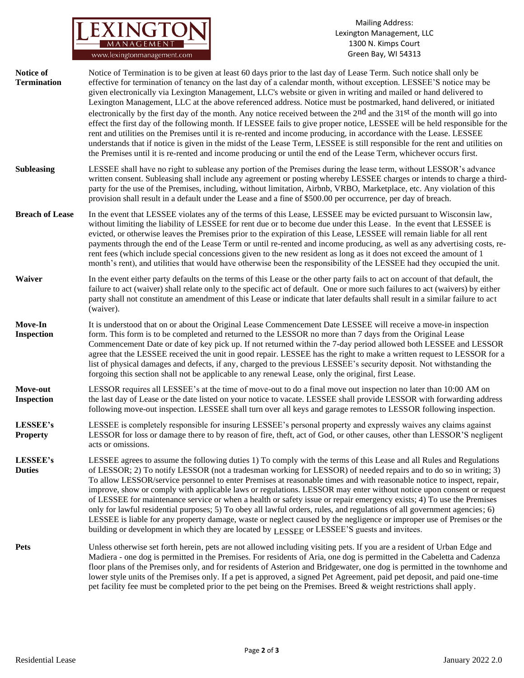

Mailing Address: Lexington Management, LLC 1300 N. Kimps Court Green Bay, WI 54313

| Notice of<br><b>Termination</b> | Notice of Termination is to be given at least 60 days prior to the last day of Lease Term. Such notice shall only be<br>effective for termination of tenancy on the last day of a calendar month, without exception. LESSEE'S notice may be<br>given electronically via Lexington Management, LLC's website or given in writing and mailed or hand delivered to<br>Lexington Management, LLC at the above referenced address. Notice must be postmarked, hand delivered, or initiated<br>electronically by the first day of the month. Any notice received between the 2 <sup>nd</sup> and the 31 <sup>st</sup> of the month will go into<br>effect the first day of the following month. If LESSEE fails to give proper notice, LESSEE will be held responsible for the<br>rent and utilities on the Premises until it is re-rented and income producing, in accordance with the Lease. LESSEE<br>understands that if notice is given in the midst of the Lease Term, LESSEE is still responsible for the rent and utilities on<br>the Premises until it is re-rented and income producing or until the end of the Lease Term, whichever occurs first. |
|---------------------------------|---------------------------------------------------------------------------------------------------------------------------------------------------------------------------------------------------------------------------------------------------------------------------------------------------------------------------------------------------------------------------------------------------------------------------------------------------------------------------------------------------------------------------------------------------------------------------------------------------------------------------------------------------------------------------------------------------------------------------------------------------------------------------------------------------------------------------------------------------------------------------------------------------------------------------------------------------------------------------------------------------------------------------------------------------------------------------------------------------------------------------------------------------------|
| <b>Subleasing</b>               | LESSEE shall have no right to sublease any portion of the Premises during the lease term, without LESSOR's advance<br>written consent. Subleasing shall include any agreement or posting whereby LESSEE charges or intends to charge a third-<br>party for the use of the Premises, including, without limitation, Airbnb, VRBO, Marketplace, etc. Any violation of this<br>provision shall result in a default under the Lease and a fine of \$500.00 per occurrence, per day of breach.                                                                                                                                                                                                                                                                                                                                                                                                                                                                                                                                                                                                                                                               |
| <b>Breach of Lease</b>          | In the event that LESSEE violates any of the terms of this Lease, LESSEE may be evicted pursuant to Wisconsin law,<br>without limiting the liability of LESSEE for rent due or to become due under this Lease. In the event that LESSEE is<br>evicted, or otherwise leaves the Premises prior to the expiration of this Lease, LESSEE will remain liable for all rent<br>payments through the end of the Lease Term or until re-rented and income producing, as well as any advertising costs, re-<br>rent fees (which include special concessions given to the new resident as long as it does not exceed the amount of 1<br>month's rent), and utilities that would have otherwise been the responsibility of the LESSEE had they occupied the unit.                                                                                                                                                                                                                                                                                                                                                                                                  |
| <b>Waiver</b>                   | In the event either party defaults on the terms of this Lease or the other party fails to act on account of that default, the<br>failure to act (waiver) shall relate only to the specific act of default. One or more such failures to act (waivers) by either<br>party shall not constitute an amendment of this Lease or indicate that later defaults shall result in a similar failure to act<br>(waiver).                                                                                                                                                                                                                                                                                                                                                                                                                                                                                                                                                                                                                                                                                                                                          |
| Move-In<br><b>Inspection</b>    | It is understood that on or about the Original Lease Commencement Date LESSEE will receive a move-in inspection<br>form. This form is to be completed and returned to the LESSOR no more than 7 days from the Original Lease<br>Commencement Date or date of key pick up. If not returned within the 7-day period allowed both LESSEE and LESSOR<br>agree that the LESSEE received the unit in good repair. LESSEE has the right to make a written request to LESSOR for a<br>list of physical damages and defects, if any, charged to the previous LESSEE's security deposit. Not withstanding the<br>forgoing this section shall not be applicable to any renewal Lease, only the original, first Lease.                                                                                                                                                                                                                                                                                                                                                                                                                                              |
| Move-out<br><b>Inspection</b>   | LESSOR requires all LESSEE's at the time of move-out to do a final move out inspection no later than 10:00 AM on<br>the last day of Lease or the date listed on your notice to vacate. LESSEE shall provide LESSOR with forwarding address<br>following move-out inspection. LESSEE shall turn over all keys and garage remotes to LESSOR following inspection.                                                                                                                                                                                                                                                                                                                                                                                                                                                                                                                                                                                                                                                                                                                                                                                         |
| LESSEE's<br><b>Property</b>     | LESSEE is completely responsible for insuring LESSEE's personal property and expressly waives any claims against<br>LESSOR for loss or damage there to by reason of fire, theft, act of God, or other causes, other than LESSOR'S negligent<br>acts or omissions.                                                                                                                                                                                                                                                                                                                                                                                                                                                                                                                                                                                                                                                                                                                                                                                                                                                                                       |
| LESSEE's<br><b>Duties</b>       | LESSEE agrees to assume the following duties 1) To comply with the terms of this Lease and all Rules and Regulations<br>of LESSOR; 2) To notify LESSOR (not a tradesman working for LESSOR) of needed repairs and to do so in writing; 3)<br>To allow LESSOR/service personnel to enter Premises at reasonable times and with reasonable notice to inspect, repair,<br>improve, show or comply with applicable laws or regulations. LESSOR may enter without notice upon consent or request<br>of LESSEE for maintenance service or when a health or safety issue or repair emergency exists; 4) To use the Premises<br>only for lawful residential purposes; 5) To obey all lawful orders, rules, and regulations of all government agencies; 6)<br>LESSEE is liable for any property damage, waste or neglect caused by the negligence or improper use of Premises or the<br>building or development in which they are located by LESSEE or LESSEE'S guests and invitees.                                                                                                                                                                             |
| <b>Pets</b>                     | Unless otherwise set forth herein, pets are not allowed including visiting pets. If you are a resident of Urban Edge and<br>Madiera - one dog is permitted in the Premises. For residents of Aria, one dog is permitted in the Cabeletta and Cadenza<br>floor plans of the Premises only, and for residents of Asterion and Bridgewater, one dog is permitted in the townhome and<br>lower style units of the Premises only. If a pet is approved, a signed Pet Agreement, paid pet deposit, and paid one-time                                                                                                                                                                                                                                                                                                                                                                                                                                                                                                                                                                                                                                          |

pet facility fee must be completed prior to the pet being on the Premises. Breed & weight restrictions shall apply.